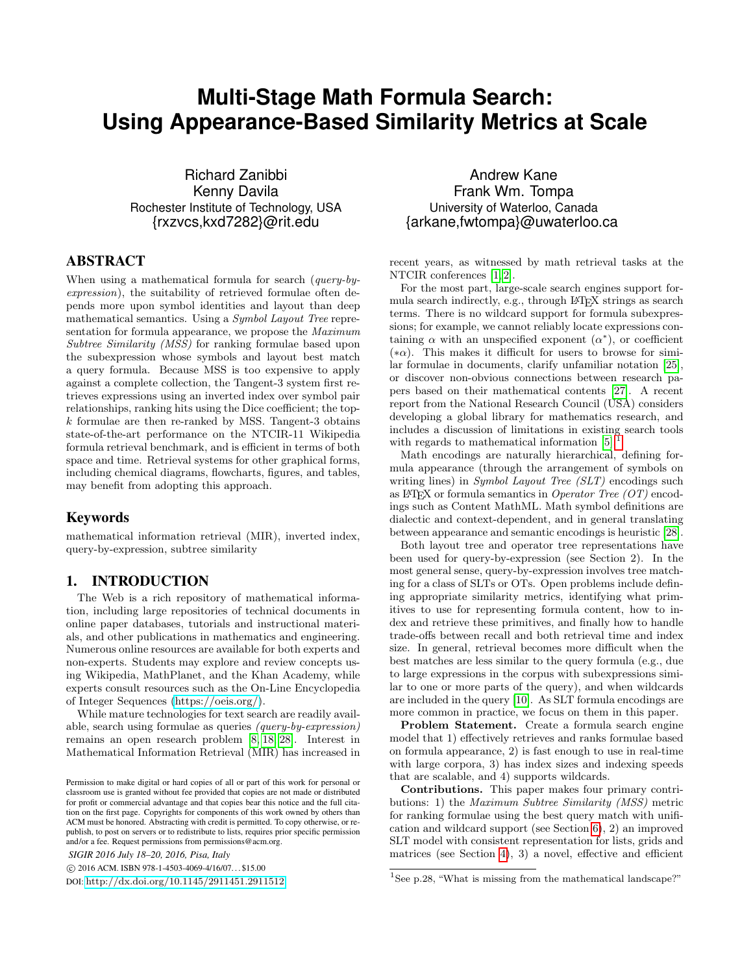# **Multi-Stage Math Formula Search: Using Appearance-Based Similarity Metrics at Scale**

Richard Zanibbi Kenny Davila Rochester Institute of Technology, USA {rxzvcs,kxd7282}@rit.edu

# ABSTRACT

When using a mathematical formula for search (query-byexpression), the suitability of retrieved formulae often depends more upon symbol identities and layout than deep mathematical semantics. Using a Symbol Layout Tree representation for formula appearance, we propose the *Maximum* Subtree Similarity (MSS) for ranking formulae based upon the subexpression whose symbols and layout best match a query formula. Because MSS is too expensive to apply against a complete collection, the Tangent-3 system first retrieves expressions using an inverted index over symbol pair relationships, ranking hits using the Dice coefficient; the topk formulae are then re-ranked by MSS. Tangent-3 obtains state-of-the-art performance on the NTCIR-11 Wikipedia formula retrieval benchmark, and is efficient in terms of both space and time. Retrieval systems for other graphical forms, including chemical diagrams, flowcharts, figures, and tables, may benefit from adopting this approach.

#### Keywords

mathematical information retrieval (MIR), inverted index, query-by-expression, subtree similarity

# 1. INTRODUCTION

The Web is a rich repository of mathematical information, including large repositories of technical documents in online paper databases, tutorials and instructional materials, and other publications in mathematics and engineering. Numerous online resources are available for both experts and non-experts. Students may explore and review concepts using Wikipedia, MathPlanet, and the Khan Academy, while experts consult resources such as the On-Line Encyclopedia of Integer Sequences [\(https://oeis.org/\)](https://oeis.org/).

While mature technologies for text search are readily available, search using formulae as queries (query-by-expression) remains an open research problem [\[8,](#page-9-0) [18,](#page-9-1) [28\]](#page-9-2). Interest in Mathematical Information Retrieval (MIR) has increased in

*SIGIR 2016 July 18–20, 2016, Pisa, Italy*

c 2016 ACM. ISBN 978-1-4503-4069-4/16/07. . . \$15.00

DOI: <http://dx.doi.org/10.1145/2911451.2911512>

Andrew Kane Frank Wm. Tompa University of Waterloo, Canada {arkane,fwtompa}@uwaterloo.ca

recent years, as witnessed by math retrieval tasks at the NTCIR conferences [\[1,](#page-9-3) [2\]](#page-9-4).

For the most part, large-scale search engines support formula search indirectly, e.g., through LAT<sub>EX</sub> strings as search terms. There is no wildcard support for formula subexpressions; for example, we cannot reliably locate expressions containing  $\alpha$  with an unspecified exponent  $(\alpha^*)$ , or coefficient  $(*\alpha)$ . This makes it difficult for users to browse for similar formulae in documents, clarify unfamiliar notation [\[25\]](#page-9-5), or discover non-obvious connections between research papers based on their mathematical contents [\[27\]](#page-9-6). A recent report from the National Research Council (USA) considers developing a global library for mathematics research, and includes a discussion of limitations in existing search tools with regards to mathematical information [\[5\]](#page-9-7).

Math encodings are naturally hierarchical, defining formula appearance (through the arrangement of symbols on writing lines) in *Symbol Layout Tree (SLT)* encodings such as LAT<sub>E</sub>X or formula semantics in Operator Tree  $(OT)$  encodings such as Content MathML. Math symbol definitions are dialectic and context-dependent, and in general translating between appearance and semantic encodings is heuristic [\[28\]](#page-9-2).

Both layout tree and operator tree representations have been used for query-by-expression (see Section 2). In the most general sense, query-by-expression involves tree matching for a class of SLTs or OTs. Open problems include defining appropriate similarity metrics, identifying what primitives to use for representing formula content, how to index and retrieve these primitives, and finally how to handle trade-offs between recall and both retrieval time and index size. In general, retrieval becomes more difficult when the best matches are less similar to the query formula (e.g., due to large expressions in the corpus with subexpressions similar to one or more parts of the query), and when wildcards are included in the query [\[10\]](#page-9-8). As SLT formula encodings are more common in practice, we focus on them in this paper.

Problem Statement. Create a formula search engine model that 1) effectively retrieves and ranks formulae based on formula appearance, 2) is fast enough to use in real-time with large corpora, 3) has index sizes and indexing speeds that are scalable, and 4) supports wildcards.

Contributions. This paper makes four primary contributions: 1) the Maximum Subtree Similarity (MSS) metric for ranking formulae using the best query match with unification and wildcard support (see Section [6\)](#page-4-0), 2) an improved SLT model with consistent representation for lists, grids and matrices (see Section [4\)](#page-2-0), 3) a novel, effective and efficient

Permission to make digital or hard copies of all or part of this work for personal or classroom use is granted without fee provided that copies are not made or distributed for profit or commercial advantage and that copies bear this notice and the full citation on the first page. Copyrights for components of this work owned by others than ACM must be honored. Abstracting with credit is permitted. To copy otherwise, or republish, to post on servers or to redistribute to lists, requires prior specific permission and/or a fee. Request permissions from permissions@acm.org.

<span id="page-0-0"></span><sup>&</sup>lt;sup>1</sup>See p.28, "What is missing from the mathematical landscape?"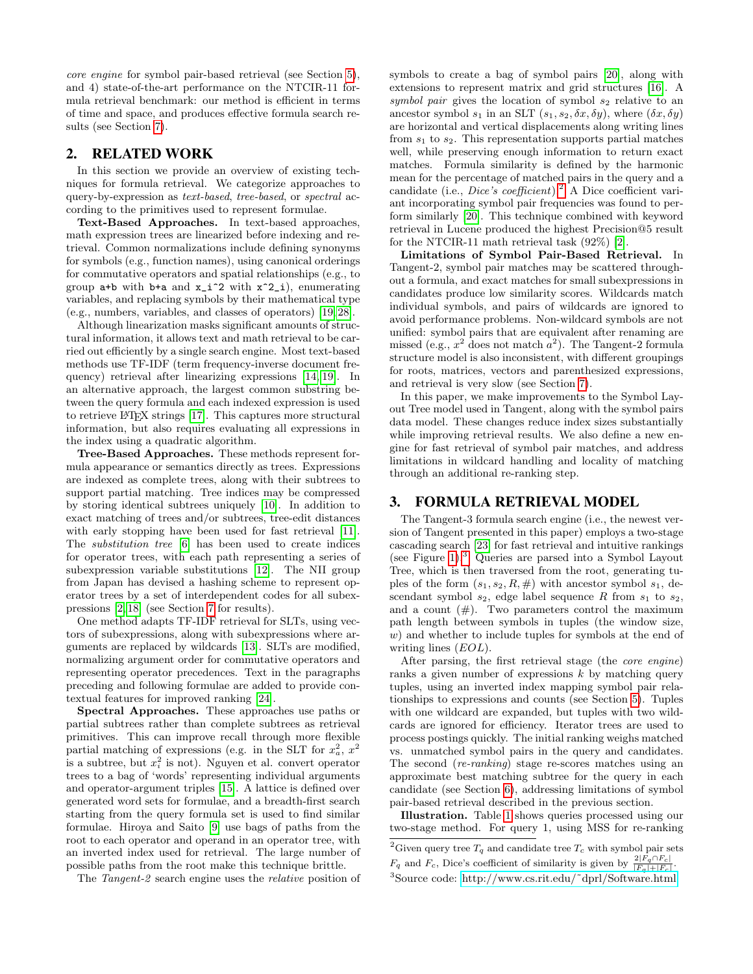core engine for symbol pair-based retrieval (see Section [5\)](#page-3-0), and 4) state-of-the-art performance on the NTCIR-11 formula retrieval benchmark: our method is efficient in terms of time and space, and produces effective formula search results (see Section [7\)](#page-6-0).

#### <span id="page-1-2"></span>2. RELATED WORK

In this section we provide an overview of existing techniques for formula retrieval. We categorize approaches to query-by-expression as text-based, tree-based, or spectral according to the primitives used to represent formulae.

Text-Based Approaches. In text-based approaches, math expression trees are linearized before indexing and retrieval. Common normalizations include defining synonyms for symbols (e.g., function names), using canonical orderings for commutative operators and spatial relationships (e.g., to group  $a+b$  with  $b+a$  and  $x_i^2$  with  $x^2_i$ , enumerating variables, and replacing symbols by their mathematical type (e.g., numbers, variables, and classes of operators) [\[19,](#page-9-9) [28\]](#page-9-2).

Although linearization masks significant amounts of structural information, it allows text and math retrieval to be carried out efficiently by a single search engine. Most text-based methods use TF-IDF (term frequency-inverse document frequency) retrieval after linearizing expressions [\[14,](#page-9-10) [19\]](#page-9-9). In an alternative approach, the largest common substring between the query formula and each indexed expression is used to retrieve LATEX strings [\[17\]](#page-9-11). This captures more structural information, but also requires evaluating all expressions in the index using a quadratic algorithm.

Tree-Based Approaches. These methods represent formula appearance or semantics directly as trees. Expressions are indexed as complete trees, along with their subtrees to support partial matching. Tree indices may be compressed by storing identical subtrees uniquely [\[10\]](#page-9-8). In addition to exact matching of trees and/or subtrees, tree-edit distances with early stopping have been used for fast retrieval [\[11\]](#page-9-12). The substitution tree [\[6\]](#page-9-13) has been used to create indices for operator trees, with each path representing a series of subexpression variable substitutions [\[12\]](#page-9-14). The NII group from Japan has devised a hashing scheme to represent operator trees by a set of interdependent codes for all subexpressions [\[2,](#page-9-4) [18\]](#page-9-1) (see Section [7](#page-6-0) for results).

One method adapts TF-IDF retrieval for SLTs, using vectors of subexpressions, along with subexpressions where arguments are replaced by wildcards [\[13\]](#page-9-15). SLTs are modified, normalizing argument order for commutative operators and representing operator precedences. Text in the paragraphs preceding and following formulae are added to provide contextual features for improved ranking [\[24\]](#page-9-16).

Spectral Approaches. These approaches use paths or partial subtrees rather than complete subtrees as retrieval primitives. This can improve recall through more flexible partial matching of expressions (e.g. in the SLT for  $x_a^2$ ,  $x^2$ is a subtree, but  $x_i^2$  is not). Nguyen et al. convert operator trees to a bag of 'words' representing individual arguments and operator-argument triples [\[15\]](#page-9-17). A lattice is defined over generated word sets for formulae, and a breadth-first search starting from the query formula set is used to find similar formulae. Hiroya and Saito [\[9\]](#page-9-18) use bags of paths from the root to each operator and operand in an operator tree, with an inverted index used for retrieval. The large number of possible paths from the root make this technique brittle.

The Tangent-2 search engine uses the relative position of

symbols to create a bag of symbol pairs [\[20\]](#page-9-19), along with extensions to represent matrix and grid structures [\[16\]](#page-9-20). A symbol pair gives the location of symbol  $s_2$  relative to an ancestor symbol  $s_1$  in an SLT  $(s_1, s_2, \delta x, \delta y)$ , where  $(\delta x, \delta y)$ are horizontal and vertical displacements along writing lines from  $s_1$  to  $s_2$ . This representation supports partial matches well, while preserving enough information to return exact matches. Formula similarity is defined by the harmonic mean for the percentage of matched pairs in the query and a candidate (i.e., *Dice's coefficient*).<sup>[2](#page-1-0)</sup> A Dice coefficient variant incorporating symbol pair frequencies was found to perform similarly [\[20\]](#page-9-19). This technique combined with keyword retrieval in Lucene produced the highest Precision@5 result for the NTCIR-11 math retrieval task (92%) [\[2\]](#page-9-4).

Limitations of Symbol Pair-Based Retrieval. In Tangent-2, symbol pair matches may be scattered throughout a formula, and exact matches for small subexpressions in candidates produce low similarity scores. Wildcards match individual symbols, and pairs of wildcards are ignored to avoid performance problems. Non-wildcard symbols are not unified: symbol pairs that are equivalent after renaming are missed (e.g.,  $x^2$  does not match  $a^2$ ). The Tangent-2 formula structure model is also inconsistent, with different groupings for roots, matrices, vectors and parenthesized expressions, and retrieval is very slow (see Section [7\)](#page-6-0).

In this paper, we make improvements to the Symbol Layout Tree model used in Tangent, along with the symbol pairs data model. These changes reduce index sizes substantially while improving retrieval results. We also define a new engine for fast retrieval of symbol pair matches, and address limitations in wildcard handling and locality of matching through an additional re-ranking step.

#### <span id="page-1-3"></span>3. FORMULA RETRIEVAL MODEL

The Tangent-3 formula search engine (i.e., the newest version of Tangent presented in this paper) employs a two-stage cascading search [\[23\]](#page-9-21) for fast retrieval and intuitive rankings (see Figure [1\)](#page-2-1).[3](#page-1-1) Queries are parsed into a Symbol Layout Tree, which is then traversed from the root, generating tuples of the form  $(s_1, s_2, R, \#)$  with ancestor symbol  $s_1$ , descendant symbol  $s_2$ , edge label sequence R from  $s_1$  to  $s_2$ , and a count  $(\#)$ . Two parameters control the maximum path length between symbols in tuples (the window size, w) and whether to include tuples for symbols at the end of writing lines *(EOL)*.

After parsing, the first retrieval stage (the core engine) ranks a given number of expressions  $k$  by matching query tuples, using an inverted index mapping symbol pair relationships to expressions and counts (see Section [5\)](#page-3-0). Tuples with one wildcard are expanded, but tuples with two wildcards are ignored for efficiency. Iterator trees are used to process postings quickly. The initial ranking weighs matched vs. unmatched symbol pairs in the query and candidates. The second (re-ranking) stage re-scores matches using an approximate best matching subtree for the query in each candidate (see Section [6\)](#page-4-0), addressing limitations of symbol pair-based retrieval described in the previous section.

Illustration. Table [1](#page-2-2) shows queries processed using our two-stage method. For query 1, using MSS for re-ranking

<span id="page-1-0"></span><sup>&</sup>lt;sup>2</sup>Given query tree  $T_q$  and candidate tree  $T_c$  with symbol pair sets  $F_q$  and  $F_c$ , Dice's coefficient of similarity is given by  $\frac{2|F_q \cap F_c|}{|F_q|+|F_c|}$ .

<span id="page-1-1"></span><sup>3</sup>Source code: [http://www.cs.rit.edu/˜dprl/Software.html.](http://www.cs.rit.edu/~dprl/Software.html)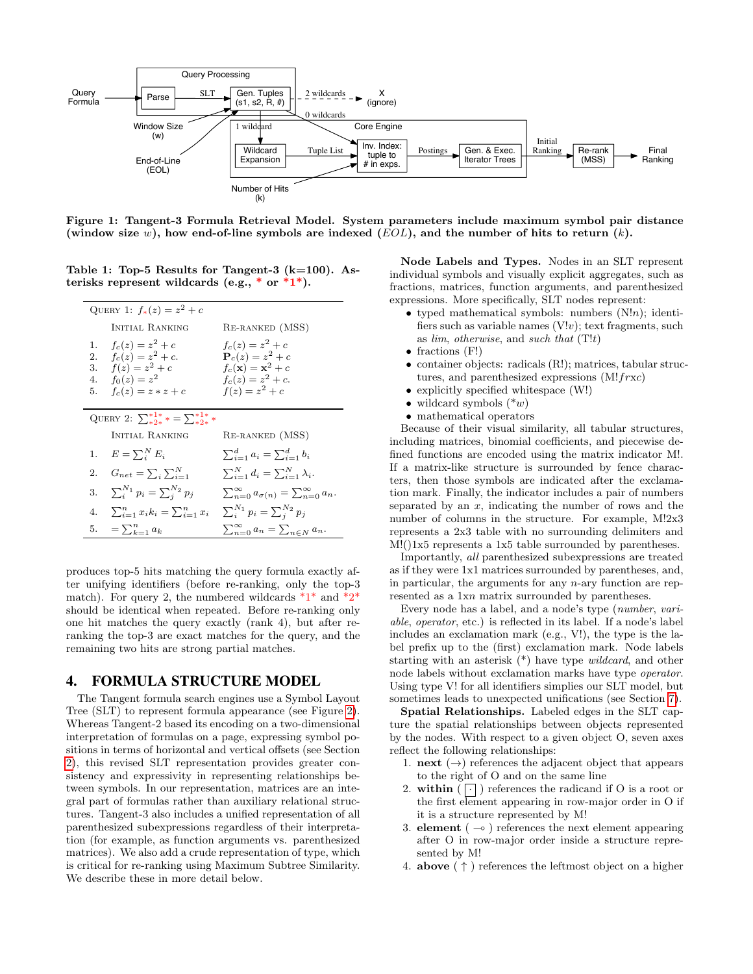

<span id="page-2-1"></span>Figure 1: Tangent-3 Formula Retrieval Model. System parameters include maximum symbol pair distance (window size w), how end-of-line symbols are indexed  $(EOL)$ , and the number of hits to return  $(k)$ .

Table 1: Top-5 Results for Tangent-3 ( $k=100$ ). Asterisks represent wildcards (e.g.,  $*$  or  $*1*$ ).

<span id="page-2-2"></span>

|                            | QUERY 1: $f_*(z) = z^2 + c$                                                                              |                                                                                                                                   |
|----------------------------|----------------------------------------------------------------------------------------------------------|-----------------------------------------------------------------------------------------------------------------------------------|
|                            | INITIAL RANKING                                                                                          | RE-RANKED (MSS)                                                                                                                   |
| 1.<br>2.<br>3.<br>4.<br>5. | $f_c(z) = z^2 + c$<br>$f_c(z) = z^2 + c$ .<br>$f(z) = z^2 + c$<br>$f_0(z) = z^2$<br>$f_c(z) = z * z + c$ | $f_c(z) = z^2 + c$<br>${\bf P}_c(z) = z^2 + c$<br>$f_c(\mathbf{x}) = \mathbf{x}^2 + c$<br>$f_c(z) = z^2 + c.$<br>$f(z) = z^2 + c$ |
|                            | QUERY 2: $\sum_{*2*}^{*1*}$ = $\sum_{*2*}^{*1*}$ *                                                       |                                                                                                                                   |
|                            | INITIAL RANKING                                                                                          | RE-RANKED (MSS)                                                                                                                   |
|                            | 1. $E = \sum_i^N E_i$                                                                                    | $\sum_{i=1}^{d} a_i = \sum_{i=1}^{d} b_i$                                                                                         |
|                            | 2. $G_{net} = \sum_i \sum_{i=1}^N$                                                                       | $\sum_{i=1}^N d_i = \sum_{i=1}^N \lambda_i.$                                                                                      |
|                            | 3. $\sum_{i}^{N_1} p_i = \sum_{i}^{N_2} p_i$                                                             | $\sum_{n=0}^{\infty} a_{\sigma(n)} = \sum_{n=0}^{\infty} a_n$                                                                     |
|                            | 4. $\sum_{i=1}^n x_i k_i = \sum_{i=1}^n x_i$ $\sum_{i=1}^{N_1} p_i = \sum_{i=1}^{N_2} p_i$               |                                                                                                                                   |
| 5.                         | $=\sum_{k=1}^n a_k$                                                                                      | $\sum_{n=0}^{\infty} a_n = \sum_{n \in N} a_n.$                                                                                   |

produces top-5 hits matching the query formula exactly after unifying identifiers (before re-ranking, only the top-3 match). For query 2, the numbered wildcards  $*1*$  and  $*2*$ should be identical when repeated. Before re-ranking only one hit matches the query exactly (rank 4), but after reranking the top-3 are exact matches for the query, and the remaining two hits are strong partial matches.

#### <span id="page-2-0"></span>**FORMULA STRUCTURE MODEL** 4.

The Tangent formula search engines use a Symbol Layout Tree (SLT) to represent formula appearance (see Figure 2). Whereas Tangent-2 based its encoding on a two-dimensional interpretation of formulas on a page, expressing symbol positions in terms of horizontal and vertical offsets (see Section 2), this revised SLT representation provides greater consistency and expressivity in representing relationships between symbols. In our representation, matrices are an integral part of formulas rather than auxiliary relational structures. Tangent-3 also includes a unified representation of all parenthesized subexpressions regardless of their interpretation (for example, as function arguments vs. parenthesized) matrices). We also add a crude representation of type, which is critical for re-ranking using Maximum Subtree Similarity. We describe these in more detail below.

Node Labels and Types. Nodes in an SLT represent individual symbols and visually explicit aggregates, such as fractions, matrices, function arguments, and parenthesized expressions. More specifically, SLT nodes represent:

- typed mathematical symbols: numbers  $(N!n)$ ; identifiers such as variable names  $(V!v)$ ; text fragments, such as  $\lim$ , otherwise, and such that  $(T!t)$
- $\bullet$  fractions (F!)
- $\bullet$  container objects: radicals (R!); matrices, tabular structures, and parenthesized expressions  $(M! frxc)$
- $\bullet$  explicitly specified white space (W!)
- wildcard symbols  $(*w)$
- $\bullet$  mathematical operators

Because of their visual similarity, all tabular structures. including matrices, binomial coefficients, and piecewise defined functions are encoded using the matrix indicator M!. If a matrix-like structure is surrounded by fence characters, then those symbols are indicated after the exclamation mark. Finally, the indicator includes a pair of numbers separated by an  $x$ , indicating the number of rows and the number of columns in the structure. For example, M!2x3 represents a 2x3 table with no surrounding delimiters and  $M!$ (1x5 represents a 1x5 table surrounded by parentheses.

Importantly, all parenthesized subexpressions are treated as if they were 1x1 matrices surrounded by parentheses, and, in particular, the arguments for any  $n$ -ary function are represented as a 1xn matrix surrounded by parentheses.

Every node has a label, and a node's type (number, variable, operator, etc.) is reflected in its label. If a node's label includes an exclamation mark (e.g., V!), the type is the label prefix up to the (first) exclamation mark. Node labels starting with an asterisk  $(*)$  have type *wildcard*, and other node labels without exclamation marks have type operator. Using type V! for all identifiers simplies our SLT model, but sometimes leads to unexpected unifications (see Section 7).

Spatial Relationships. Labeled edges in the SLT capture the spatial relationships between objects represented by the nodes. With respect to a given object O, seven axes reflect the following relationships:

- 1. **next**  $(\rightarrow)$  references the adjacent object that appears to the right of O and on the same line
- 2. within  $\left(\begin{array}{c} \cdot \\ \cdot \end{array}\right)$  references the radicand if O is a root or the first element appearing in row-major order in O if it is a structure represented by M!
- 3. element ( $\multimap$ ) references the next element appearing after O in row-major order inside a structure represented by M!
- 4. **above**  $(\uparrow)$  references the leftmost object on a higher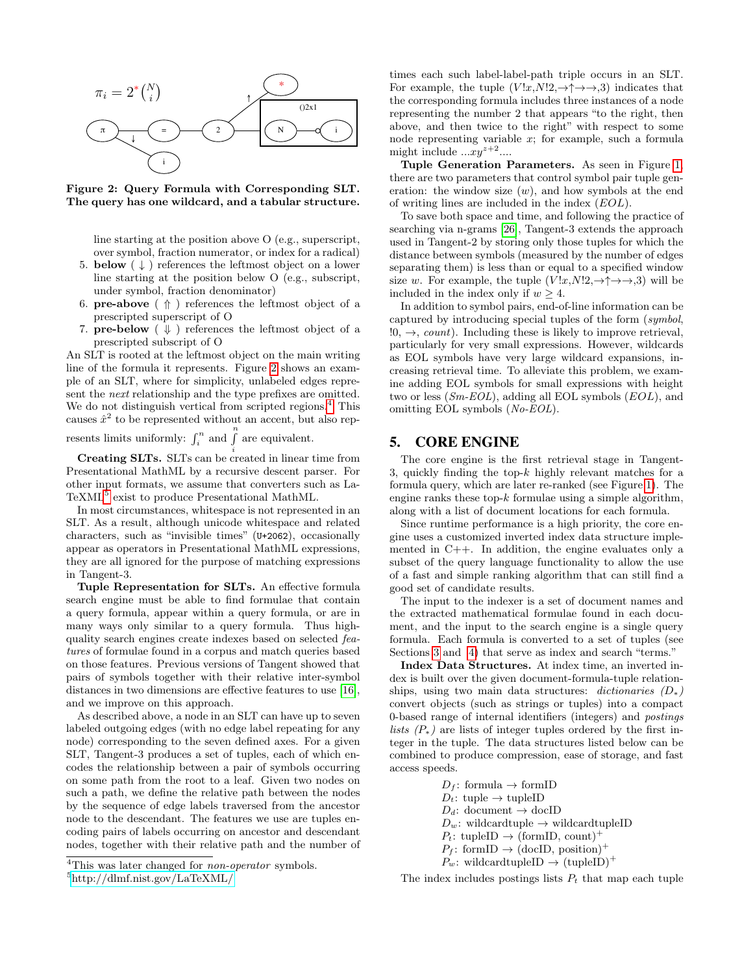

<span id="page-3-1"></span>Figure 2: Query Formula with Corresponding SLT. The query has one wildcard, and a tabular structure.

line starting at the position above O (e.g., superscript, over symbol, fraction numerator, or index for a radical)

- 5. **below**  $(\downarrow)$  references the leftmost object on a lower line starting at the position below O (e.g., subscript, under symbol, fraction denominator)
- 6. **pre-above**  $( \Uparrow )$  references the leftmost object of a prescripted superscript of O
- 7. **pre-below**  $(\Downarrow)$  references the leftmost object of a prescripted subscript of O

An SLT is rooted at the leftmost object on the main writing line of the formula it represents. Figure [2](#page-3-1) shows an example of an SLT, where for simplicity, unlabeled edges represent the next relationship and the type prefixes are omitted. We do not distinguish vertical from scripted regions.<sup>[4](#page-3-2)</sup> This causes  $\hat{x}^2$  to be represented without an accent, but also rep-

resents limits uniformly:  $\int_i^n$  and  $\int_i^n$  are equivalent.

**Creating SLTs.** SLTs can be created in linear time from Presentational MathML by a recursive descent parser. For other input formats, we assume that converters such as La-TeXML<sup>[5](#page-3-3)</sup> exist to produce Presentational MathML.

In most circumstances, whitespace is not represented in an SLT. As a result, although unicode whitespace and related characters, such as "invisible times" (U+2062), occasionally appear as operators in Presentational MathML expressions, they are all ignored for the purpose of matching expressions in Tangent-3.

Tuple Representation for SLTs. An effective formula search engine must be able to find formulae that contain a query formula, appear within a query formula, or are in many ways only similar to a query formula. Thus highquality search engines create indexes based on selected features of formulae found in a corpus and match queries based on those features. Previous versions of Tangent showed that pairs of symbols together with their relative inter-symbol distances in two dimensions are effective features to use [\[16\]](#page-9-20), and we improve on this approach.

As described above, a node in an SLT can have up to seven labeled outgoing edges (with no edge label repeating for any node) corresponding to the seven defined axes. For a given SLT, Tangent-3 produces a set of tuples, each of which encodes the relationship between a pair of symbols occurring on some path from the root to a leaf. Given two nodes on such a path, we define the relative path between the nodes by the sequence of edge labels traversed from the ancestor node to the descendant. The features we use are tuples encoding pairs of labels occurring on ancestor and descendant nodes, together with their relative path and the number of

times each such label-label-path triple occurs in an SLT. For example, the tuple  $(V!x,N!2,\rightarrow\uparrow\rightarrow\rightarrow,3)$  indicates that the corresponding formula includes three instances of a node representing the number 2 that appears "to the right, then above, and then twice to the right" with respect to some node representing variable  $x$ ; for example, such a formula might include  $...xy^{z+2}...$ 

Tuple Generation Parameters. As seen in Figure [1,](#page-2-1) there are two parameters that control symbol pair tuple generation: the window size  $(w)$ , and how symbols at the end of writing lines are included in the index (EOL).

To save both space and time, and following the practice of searching via n-grams [\[26\]](#page-9-22), Tangent-3 extends the approach used in Tangent-2 by storing only those tuples for which the distance between symbols (measured by the number of edges separating them) is less than or equal to a specified window size w. For example, the tuple  $(V!x,N!2,\to \uparrow \to \to,3)$  will be included in the index only if  $w > 4$ .

In addition to symbol pairs, end-of-line information can be captured by introducing special tuples of the form (symbol,  $!0, \rightarrow, count$ ). Including these is likely to improve retrieval, particularly for very small expressions. However, wildcards as EOL symbols have very large wildcard expansions, increasing retrieval time. To alleviate this problem, we examine adding EOL symbols for small expressions with height two or less  $(Sm\text{-}EOL)$ , adding all EOL symbols  $(EOL)$ , and omitting EOL symbols (No-EOL).

#### <span id="page-3-0"></span>5. CORE ENGINE

The core engine is the first retrieval stage in Tangent-3, quickly finding the top- $k$  highly relevant matches for a formula query, which are later re-ranked (see Figure [1\)](#page-2-1). The engine ranks these top- $k$  formulae using a simple algorithm, along with a list of document locations for each formula.

Since runtime performance is a high priority, the core engine uses a customized inverted index data structure implemented in C++. In addition, the engine evaluates only a subset of the query language functionality to allow the use of a fast and simple ranking algorithm that can still find a good set of candidate results.

The input to the indexer is a set of document names and the extracted mathematical formulae found in each document, and the input to the search engine is a single query formula. Each formula is converted to a set of tuples (see Sections [3](#page-1-3) and [4\)](#page-3-1) that serve as index and search "terms."

Index Data Structures. At index time, an inverted index is built over the given document-formula-tuple relationships, using two main data structures: dictionaries  $(D_*)$ convert objects (such as strings or tuples) into a compact 0-based range of internal identifiers (integers) and postings lists  $(P_*)$  are lists of integer tuples ordered by the first integer in the tuple. The data structures listed below can be combined to produce compression, ease of storage, and fast access speeds.

> $D_f$ : formula  $\rightarrow$  formID  $D_t$ : tuple  $\rightarrow$  tupleID  $D_d$ : document  $\rightarrow$  docID  $D_w$ : wildcardtuple  $\rightarrow$  wildcardtupleID  $P_t$ : tupleID  $\rightarrow$  (formID, count)<sup>+</sup>  $P_f$ : formID  $\rightarrow$  (docID, position)<sup>+</sup>  $P_w$ : wildcardtupleID  $\rightarrow$  (tupleID)<sup>+</sup>

The index includes postings lists  $P_t$  that map each tuple

<span id="page-3-2"></span><sup>&</sup>lt;sup>4</sup>This was later changed for *non-operator* symbols.

<span id="page-3-3"></span><sup>5</sup><http://dlmf.nist.gov/LaTeXML/>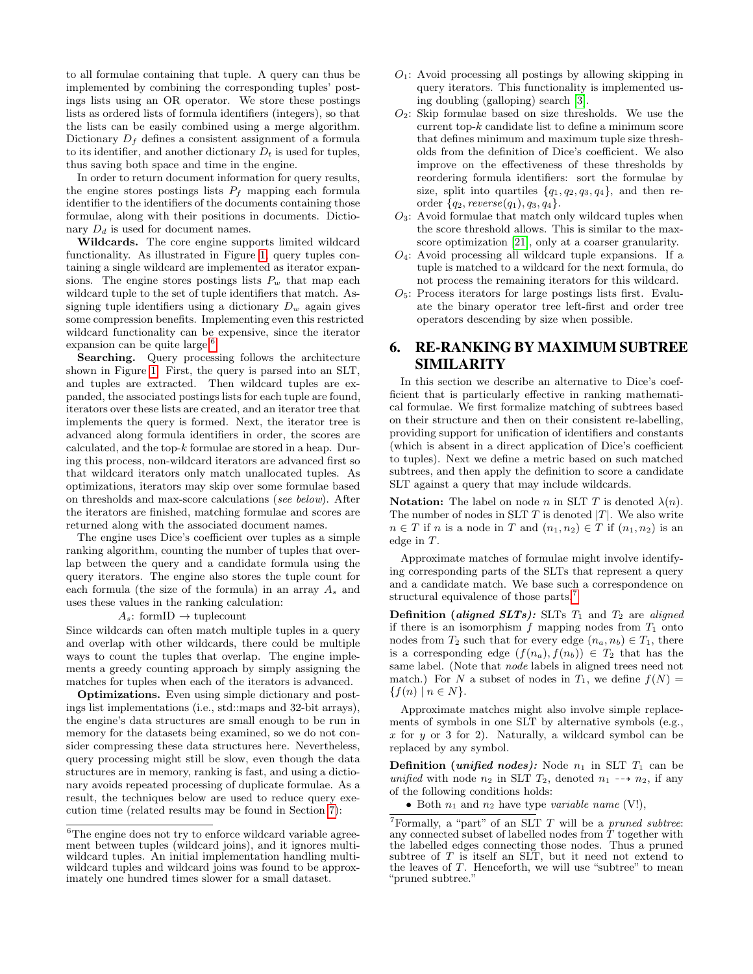to all formulae containing that tuple. A query can thus be implemented by combining the corresponding tuples' postings lists using an OR operator. We store these postings lists as ordered lists of formula identifiers (integers), so that the lists can be easily combined using a merge algorithm. Dictionary  $D_f$  defines a consistent assignment of a formula to its identifier, and another dictionary  $D_t$  is used for tuples, thus saving both space and time in the engine.

In order to return document information for query results, the engine stores postings lists  $P_f$  mapping each formula identifier to the identifiers of the documents containing those formulae, along with their positions in documents. Dictionary  $D_d$  is used for document names.

Wildcards. The core engine supports limited wildcard functionality. As illustrated in Figure [1,](#page-2-1) query tuples containing a single wildcard are implemented as iterator expansions. The engine stores postings lists  $P_w$  that map each wildcard tuple to the set of tuple identifiers that match. Assigning tuple identifiers using a dictionary  $D_w$  again gives some compression benefits. Implementing even this restricted wildcard functionality can be expensive, since the iterator expansion can be quite large.<sup>[6](#page-4-1)</sup>

Searching. Query processing follows the architecture shown in Figure [1.](#page-2-1) First, the query is parsed into an SLT, and tuples are extracted. Then wildcard tuples are expanded, the associated postings lists for each tuple are found, iterators over these lists are created, and an iterator tree that implements the query is formed. Next, the iterator tree is advanced along formula identifiers in order, the scores are calculated, and the top-k formulae are stored in a heap. During this process, non-wildcard iterators are advanced first so that wildcard iterators only match unallocated tuples. As optimizations, iterators may skip over some formulae based on thresholds and max-score calculations (see below). After the iterators are finished, matching formulae and scores are returned along with the associated document names.

The engine uses Dice's coefficient over tuples as a simple ranking algorithm, counting the number of tuples that overlap between the query and a candidate formula using the query iterators. The engine also stores the tuple count for each formula (the size of the formula) in an array  $A_s$  and uses these values in the ranking calculation:

 $A_s$ : formID  $\rightarrow$  tuplecount

Since wildcards can often match multiple tuples in a query and overlap with other wildcards, there could be multiple ways to count the tuples that overlap. The engine implements a greedy counting approach by simply assigning the matches for tuples when each of the iterators is advanced.

Optimizations. Even using simple dictionary and postings list implementations (i.e., std::maps and 32-bit arrays), the engine's data structures are small enough to be run in memory for the datasets being examined, so we do not consider compressing these data structures here. Nevertheless, query processing might still be slow, even though the data structures are in memory, ranking is fast, and using a dictionary avoids repeated processing of duplicate formulae. As a result, the techniques below are used to reduce query execution time (related results may be found in Section [7\)](#page-6-0):

- $O_1$ : Avoid processing all postings by allowing skipping in query iterators. This functionality is implemented using doubling (galloping) search [\[3\]](#page-9-23).
- $O_2$ : Skip formulae based on size thresholds. We use the current top- $k$  candidate list to define a minimum score that defines minimum and maximum tuple size thresholds from the definition of Dice's coefficient. We also improve on the effectiveness of these thresholds by reordering formula identifiers: sort the formulae by size, split into quartiles  $\{q_1, q_2, q_3, q_4\}$ , and then reorder  $\{q_2, \text{reverse}(q_1), q_3, q_4\}.$
- $O_3$ : Avoid formulae that match only wildcard tuples when the score threshold allows. This is similar to the maxscore optimization [\[21\]](#page-9-24), only at a coarser granularity.
- $O_4$ : Avoid processing all wildcard tuple expansions. If a tuple is matched to a wildcard for the next formula, do not process the remaining iterators for this wildcard.
- $O<sub>5</sub>$ : Process iterators for large postings lists first. Evaluate the binary operator tree left-first and order tree operators descending by size when possible.

# <span id="page-4-0"></span>6. RE-RANKING BY MAXIMUM SUBTREE SIMILARITY

In this section we describe an alternative to Dice's coefficient that is particularly effective in ranking mathematical formulae. We first formalize matching of subtrees based on their structure and then on their consistent re-labelling, providing support for unification of identifiers and constants (which is absent in a direct application of Dice's coefficient to tuples). Next we define a metric based on such matched subtrees, and then apply the definition to score a candidate SLT against a query that may include wildcards.

**Notation:** The label on node n in SLT T is denoted  $\lambda(n)$ . The number of nodes in SLT  $T$  is denoted  $|T|$ . We also write  $n \in T$  if n is a node in T and  $(n_1, n_2) \in T$  if  $(n_1, n_2)$  is an edge in T.

Approximate matches of formulae might involve identifying corresponding parts of the SLTs that represent a query and a candidate match. We base such a correspondence on structural equivalence of those parts.<sup>[7](#page-4-2)</sup>

Definition (aligned SLTs): SLTs  $T_1$  and  $T_2$  are aligned if there is an isomorphism  $f$  mapping nodes from  $T_1$  onto nodes from  $T_2$  such that for every edge  $(n_a, n_b) \in T_1$ , there is a corresponding edge  $(f(n_a), f(n_b)) \in T_2$  that has the same label. (Note that node labels in aligned trees need not match.) For N a subset of nodes in  $T_1$ , we define  $f(N)$  =  ${f(n) | n \in N}.$ 

Approximate matches might also involve simple replacements of symbols in one SLT by alternative symbols (e.g.,  $x$  for  $y$  or 3 for 2). Naturally, a wildcard symbol can be replaced by any symbol.

**Definition** (*unified nodes*): Node  $n_1$  in SLT  $T_1$  can be unified with node  $n_2$  in SLT  $T_2$ , denoted  $n_1 \rightarrow n_2$ , if any of the following conditions holds:

• Both  $n_1$  and  $n_2$  have type variable name (V!),

<span id="page-4-1"></span> $^6\rm{The}$  engine does not try to enforce wildcard variable agreement between tuples (wildcard joins), and it ignores multiwildcard tuples. An initial implementation handling multiwildcard tuples and wildcard joins was found to be approximately one hundred times slower for a small dataset.

<span id="page-4-2"></span> $7$ Formally, a "part" of an SLT  $T$  will be a *pruned subtree:* any connected subset of labelled nodes from  $\hat{T}$  together with the labelled edges connecting those nodes. Thus a pruned subtree of T is itself an SLT, but it need not extend to the leaves of T. Henceforth, we will use "subtree" to mean "pruned subtree."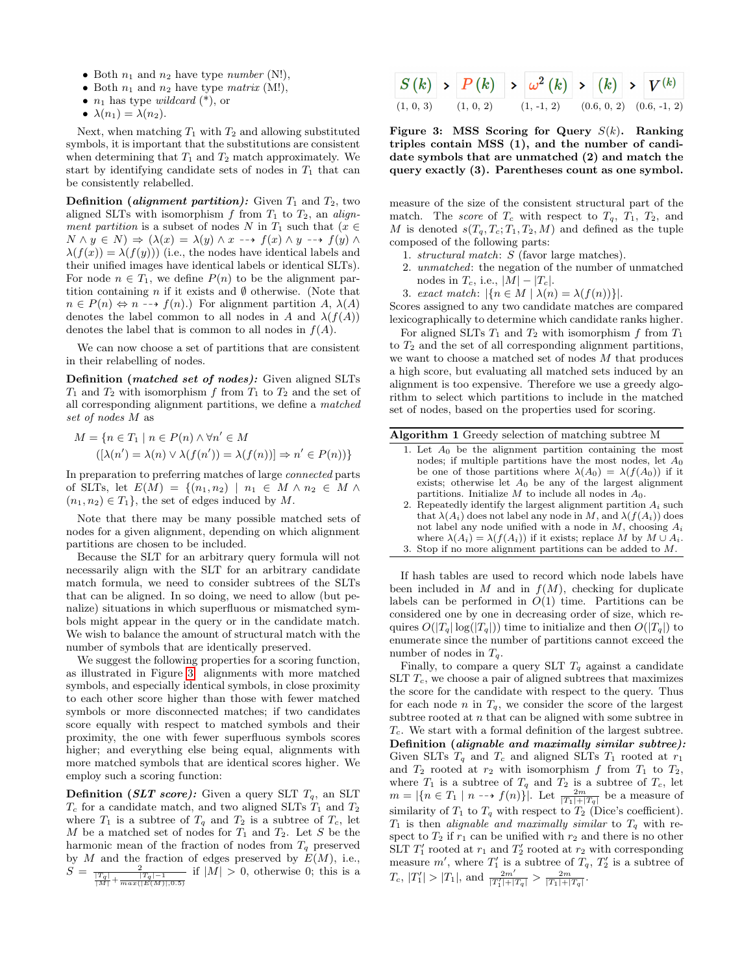- Both  $n_1$  and  $n_2$  have type *number* (N!),
- Both  $n_1$  and  $n_2$  have type *matrix* (M!),
- $n_1$  has type *wildcard*  $(*)$ , or
- $\lambda(n_1) = \lambda(n_2)$ .

Next, when matching  $T_1$  with  $T_2$  and allowing substituted symbols, it is important that the substitutions are consistent when determining that  $T_1$  and  $T_2$  match approximately. We start by identifying candidate sets of nodes in  $T_1$  that can be consistently relabelled.

**Definition** (*alignment partition*): Given  $T_1$  and  $T_2$ , two aligned SLTs with isomorphism  $f$  from  $T_1$  to  $T_2$ , an alignment partition is a subset of nodes N in  $T_1$  such that  $(x \in$  $N \wedge y \in N$   $\Rightarrow (\lambda(x) = \lambda(y) \wedge x \dashrightarrow f(x) \wedge y \dashrightarrow f(y) \wedge y)$  $\lambda(f(x)) = \lambda(f(y))$  (i.e., the nodes have identical labels and their unified images have identical labels or identical SLTs). For node  $n \in T_1$ , we define  $P(n)$  to be the alignment partition containing n if it exists and  $\emptyset$  otherwise. (Note that  $n \in P(n) \Leftrightarrow n \dashrightarrow f(n).$  For alignment partition A,  $\lambda(A)$ denotes the label common to all nodes in A and  $\lambda(f(A))$ denotes the label that is common to all nodes in  $f(A)$ .

We can now choose a set of partitions that are consistent in their relabelling of nodes.

Definition (matched set of nodes): Given aligned SLTs  $T_1$  and  $T_2$  with isomorphism f from  $T_1$  to  $T_2$  and the set of all corresponding alignment partitions, we define a matched set of nodes M as

$$
M = \{ n \in T_1 \mid n \in P(n) \land \forall n' \in M
$$

$$
([\lambda(n') = \lambda(n) \lor \lambda(f(n')) = \lambda(f(n))] \Rightarrow n' \in P(n)) \}
$$

In preparation to preferring matches of large connected parts of SLTs, let  $E(M) = \{(n_1, n_2) \mid n_1 \in M \land n_2 \in M \land$  $(n_1, n_2) \in T_1$ , the set of edges induced by M.

Note that there may be many possible matched sets of nodes for a given alignment, depending on which alignment partitions are chosen to be included.

Because the SLT for an arbitrary query formula will not necessarily align with the SLT for an arbitrary candidate match formula, we need to consider subtrees of the SLTs that can be aligned. In so doing, we need to allow (but penalize) situations in which superfluous or mismatched symbols might appear in the query or in the candidate match. We wish to balance the amount of structural match with the number of symbols that are identically preserved.

We suggest the following properties for a scoring function, as illustrated in Figure [3:](#page-5-0) alignments with more matched symbols, and especially identical symbols, in close proximity to each other score higher than those with fewer matched symbols or more disconnected matches; if two candidates score equally with respect to matched symbols and their proximity, the one with fewer superfluous symbols scores higher; and everything else being equal, alignments with more matched symbols that are identical scores higher. We employ such a scoring function:

**Definition** (*SLT score*): Given a query SLT  $T_q$ , an SLT  $T_c$  for a candidate match, and two aligned SLTs  $T_1$  and  $T_2$ where  $T_1$  is a subtree of  $T_q$  and  $T_2$  is a subtree of  $T_c$ , let M be a matched set of nodes for  $T_1$  and  $T_2$ . Let S be the harmonic mean of the fraction of nodes from  $T_q$  preserved by  $M$  and the fraction of edges preserved by  $E(M)$ , i.e.,  $S\,=\,$  $\frac{|T_q|}{|M|} + \frac{|T_q| - 1}{|T_q| - 1}$  if  $|M| > 0$ , otherwise 0; this is a

|  |                         | $\left  S\left( k\right) \right  \rightarrow \left  P\left( k\right) \right  \rightarrow \left  \omega^{2}\left( k\right) \right  \rightarrow \left  \left( k\right) \right  \rightarrow \left  V^{\left( k\right) }\right $ |  |  |  |
|--|-------------------------|------------------------------------------------------------------------------------------------------------------------------------------------------------------------------------------------------------------------------|--|--|--|
|  | $(1, 0, 3)$ $(1, 0, 2)$ | $(1, -1, 2)$ $(0.6, 0, 2)$ $(0.6, -1, 2)$                                                                                                                                                                                    |  |  |  |

<span id="page-5-0"></span>Figure 3: MSS Scoring for Query  $S(k)$ . Ranking triples contain MSS (1), and the number of candidate symbols that are unmatched (2) and match the query exactly (3). Parentheses count as one symbol.

measure of the size of the consistent structural part of the match. The score of  $T_c$  with respect to  $T_q$ ,  $T_1$ ,  $T_2$ , and M is denoted  $s(T_q, T_c; T_1, T_2, M)$  and defined as the tuple composed of the following parts:

- 1. structural match: S (favor large matches).
- 2. unmatched: the negation of the number of unmatched nodes in  $T_c$ , i.e.,  $|M| - |T_c|$ .
- 3. exact match:  $|\{n \in M \mid \lambda(n) = \lambda(f(n))\}|$ .

Scores assigned to any two candidate matches are compared lexicographically to determine which candidate ranks higher.

For aligned SLTs  $T_1$  and  $T_2$  with isomorphism f from  $T_1$ to  $T_2$  and the set of all corresponding alignment partitions, we want to choose a matched set of nodes M that produces a high score, but evaluating all matched sets induced by an alignment is too expensive. Therefore we use a greedy algorithm to select which partitions to include in the matched set of nodes, based on the properties used for scoring.

| Algorithm 1 Greedy selection of matching subtree M |  |  |  |  |
|----------------------------------------------------|--|--|--|--|
|                                                    |  |  |  |  |

- 1. Let  $A_0$  be the alignment partition containing the most nodes; if multiple partitions have the most nodes, let  $A_0$ be one of those partitions where  $\lambda(A_0) = \lambda(f(A_0))$  if it exists; otherwise let  $A_0$  be any of the largest alignment partitions. Initialize  $M$  to include all nodes in  $A_0$ .
- 2. Repeatedly identify the largest alignment partition  $A_i$  such that  $\lambda(A_i)$  does not label any node in M, and  $\lambda(f(A_i))$  does not label any node unified with a node in  $M$ , choosing  $A_i$ where  $\lambda(A_i) = \lambda(f(A_i))$  if it exists; replace M by  $M \cup A_i$ . 3. Stop if no more alignment partitions can be added to M.

<span id="page-5-1"></span>If hash tables are used to record which node labels have been included in  $M$  and in  $f(M)$ , checking for duplicate labels can be performed in  $O(1)$  time. Partitions can be considered one by one in decreasing order of size, which requires  $O(|T_q| \log(|T_q|))$  time to initialize and then  $O(|T_q|)$  to enumerate since the number of partitions cannot exceed the number of nodes in  $T_q$ .

Finally, to compare a query SLT  $T_q$  against a candidate SLT  $T_c$ , we choose a pair of aligned subtrees that maximizes the score for the candidate with respect to the query. Thus for each node n in  $T_q$ , we consider the score of the largest subtree rooted at  $n$  that can be aligned with some subtree in  $T_c$ . We start with a formal definition of the largest subtree. Definition (alignable and maximally similar subtree): Given SLTs  $T_q$  and  $T_c$  and aligned SLTs  $T_1$  rooted at  $r_1$ and  $T_2$  rooted at  $r_2$  with isomorphism f from  $T_1$  to  $T_2$ , where  $T_1$  is a subtree of  $T_q$  and  $T_2$  is a subtree of  $T_c$ , let  $m = |\{n \in T_1 \mid n \dashrightarrow f(n)\}|.$  Let  $\frac{2m}{|T_1|+|T_q|}$  be a measure of similarity of  $T_1$  to  $T_q$  with respect to  $T_2$  (Dice's coefficient).  $T_1$  is then alignable and maximally similar to  $T_q$  with respect to  $T_2$  if  $r_1$  can be unified with  $r_2$  and there is no other SLT  $T'_1$  rooted at  $r_1$  and  $T'_2$  rooted at  $r_2$  with corresponding measure  $m'$ , where  $T'_1$  is a subtree of  $T_q$ ,  $T'_2$  is a subtree of  $T_c$ ,  $|T_1| > |T_1|$ , and  $\frac{2m'}{|T_1'| + |T_q|} > \frac{2m}{|T_1| + |T_q|}$ .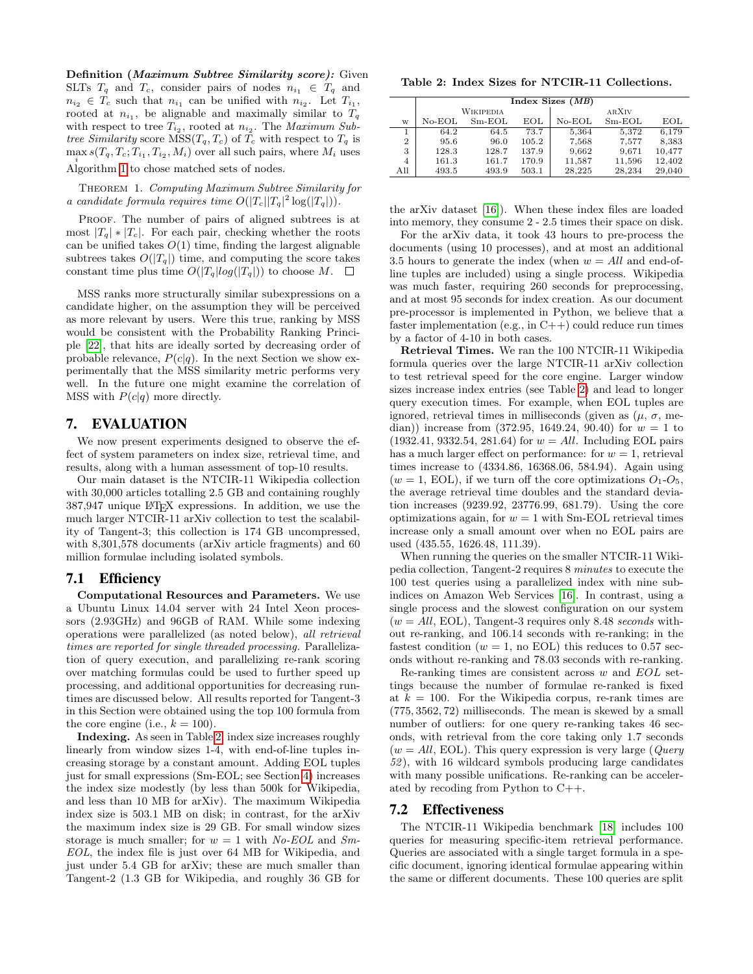Definition (Maximum Subtree Similarity score): Given SLTs  $T_q$  and  $T_c$ , consider pairs of nodes  $n_{i_1} \in T_q$  and  $n_{i_2} \in T_c$  such that  $n_{i_1}$  can be unified with  $n_{i_2}$ . Let  $T_{i_1}$ , rooted at  $n_{i_1}$ , be alignable and maximally similar to  $T_q$ with respect to tree  $T_{i_2}$ , rooted at  $n_{i_2}$ . The *Maximum Sub*tree Similarity score  $MSS(T_q, T_c)$  of  $T_c$  with respect to  $T_q$  is  $\max_i s(T_q, T_c; T_{i_1}, T_{i_2}, M_i)$  over all such pairs, where  $M_i$  uses Algorithm [1](#page-5-1) to chose matched sets of nodes.

THEOREM 1. Computing Maximum Subtree Similarity for a candidate formula requires time  $O(|T_c||T_q|^2 \log(|T_q|)).$ 

PROOF. The number of pairs of aligned subtrees is at most  $|T_q| * |T_c|$ . For each pair, checking whether the roots can be unified takes  $O(1)$  time, finding the largest alignable subtrees takes  $O(|T_q|)$  time, and computing the score takes constant time plus time  $O(|T_q|log(|T_q|))$  to choose  $M$ .  $\square$ 

MSS ranks more structurally similar subexpressions on a candidate higher, on the assumption they will be perceived as more relevant by users. Were this true, ranking by MSS would be consistent with the Probability Ranking Principle [\[22\]](#page-9-25), that hits are ideally sorted by decreasing order of probable relevance,  $P(c|q)$ . In the next Section we show experimentally that the MSS similarity metric performs very well. In the future one might examine the correlation of MSS with  $P(c|q)$  more directly.

# <span id="page-6-0"></span>7. EVALUATION

We now present experiments designed to observe the effect of system parameters on index size, retrieval time, and results, along with a human assessment of top-10 results.

Our main dataset is the NTCIR-11 Wikipedia collection with 30,000 articles totalling 2.5 GB and containing roughly 387,947 unique LATEX expressions. In addition, we use the much larger NTCIR-11 arXiv collection to test the scalability of Tangent-3; this collection is 174 GB uncompressed, with 8,301,578 documents (arXiv article fragments) and 60 million formulae including isolated symbols.

#### 7.1 Efficiency

Computational Resources and Parameters. We use a Ubuntu Linux 14.04 server with 24 Intel Xeon processors (2.93GHz) and 96GB of RAM. While some indexing operations were parallelized (as noted below), all retrieval times are reported for single threaded processing. Parallelization of query execution, and parallelizing re-rank scoring over matching formulas could be used to further speed up processing, and additional opportunities for decreasing runtimes are discussed below. All results reported for Tangent-3 in this Section were obtained using the top 100 formula from the core engine (i.e.,  $k = 100$ ).

Indexing. As seen in Table [2,](#page-6-1) index size increases roughly linearly from window sizes 1-4, with end-of-line tuples increasing storage by a constant amount. Adding EOL tuples just for small expressions (Sm-EOL; see Section [4\)](#page-2-0) increases the index size modestly (by less than 500k for Wikipedia, and less than 10 MB for arXiv). The maximum Wikipedia index size is 503.1 MB on disk; in contrast, for the arXiv the maximum index size is 29 GB. For small window sizes storage is much smaller; for  $w = 1$  with No-EOL and Sm-EOL, the index file is just over 64 MB for Wikipedia, and just under 5.4 GB for arXiv; these are much smaller than Tangent-2 (1.3 GB for Wikipedia, and roughly 36 GB for

<span id="page-6-1"></span>Table 2: Index Sizes for NTCIR-11 Collections.

|                | Index Sizes $(MB)$ |                  |       |          |          |        |  |  |  |  |  |  |
|----------------|--------------------|------------------|-------|----------|----------|--------|--|--|--|--|--|--|
|                |                    | <b>WIKIPEDIA</b> |       | ARXIV    |          |        |  |  |  |  |  |  |
| W              | $No-EOL$           | $Sm-EOL$         | EOL   | $No-EOL$ | $Sm-EOL$ | EOL    |  |  |  |  |  |  |
|                | 64.2               | 64.5             | 73.7  | 5,364    | 5,372    | 6,179  |  |  |  |  |  |  |
| $\overline{2}$ | 95.6               | 96.0             | 105.2 | 7,568    | 7,577    | 8,383  |  |  |  |  |  |  |
| 3              | 128.3              | 128.7            | 137.9 | 9,662    | 9.671    | 10,477 |  |  |  |  |  |  |
| 4              | 161.3              | 161.7            | 170.9 | 11,587   | 11,596   | 12,402 |  |  |  |  |  |  |
| All            | 493.5              | 493.9            | 503.1 | 28.225   | 28.234   | 29,040 |  |  |  |  |  |  |

the arXiv dataset [\[16\]](#page-9-20)). When these index files are loaded into memory, they consume 2 - 2.5 times their space on disk.

For the arXiv data, it took 43 hours to pre-process the documents (using 10 processes), and at most an additional 3.5 hours to generate the index (when  $w = All$  and end-ofline tuples are included) using a single process. Wikipedia was much faster, requiring 260 seconds for preprocessing, and at most 95 seconds for index creation. As our document pre-processor is implemented in Python, we believe that a faster implementation (e.g., in C++) could reduce run times by a factor of 4-10 in both cases.

Retrieval Times. We ran the 100 NTCIR-11 Wikipedia formula queries over the large NTCIR-11 arXiv collection to test retrieval speed for the core engine. Larger window sizes increase index entries (see Table [2\)](#page-6-1) and lead to longer query execution times. For example, when EOL tuples are ignored, retrieval times in milliseconds (given as  $(\mu, \sigma, \text{me-})$ dian)) increase from  $(372.95, 1649.24, 90.40)$  for  $w = 1$  to  $(1932.41, 9332.54, 281.64)$  for  $w = All$ . Including EOL pairs has a much larger effect on performance: for  $w = 1$ , retrieval times increase to (4334.86, 16368.06, 584.94). Again using  $(w = 1, EOL)$ , if we turn off the core optimizations  $O<sub>1</sub>-O<sub>5</sub>$ , the average retrieval time doubles and the standard deviation increases (9239.92, 23776.99, 681.79). Using the core optimizations again, for  $w = 1$  with Sm-EOL retrieval times increase only a small amount over when no EOL pairs are used (435.55, 1626.48, 111.39).

When running the queries on the smaller NTCIR-11 Wikipedia collection, Tangent-2 requires 8 minutes to execute the 100 test queries using a parallelized index with nine subindices on Amazon Web Services [\[16\]](#page-9-20). In contrast, using a single process and the slowest configuration on our system  $(w = All, EOL)$ , Tangent-3 requires only 8.48 seconds without re-ranking, and 106.14 seconds with re-ranking; in the fastest condition ( $w = 1$ , no EOL) this reduces to 0.57 seconds without re-ranking and 78.03 seconds with re-ranking.

Re-ranking times are consistent across  $w$  and  $EOL$  settings because the number of formulae re-ranked is fixed at  $k = 100$ . For the Wikipedia corpus, re-rank times are (775, 3562, 72) milliseconds. The mean is skewed by a small number of outliers: for one query re-ranking takes 46 seconds, with retrieval from the core taking only 1.7 seconds  $(w = All, EOL)$ . This query expression is very large (*Query*) 52 ), with 16 wildcard symbols producing large candidates with many possible unifications. Re-ranking can be accelerated by recoding from Python to C++.

# 7.2 Effectiveness

The NTCIR-11 Wikipedia benchmark [\[18\]](#page-9-1) includes 100 queries for measuring specific-item retrieval performance. Queries are associated with a single target formula in a specific document, ignoring identical formulae appearing within the same or different documents. These 100 queries are split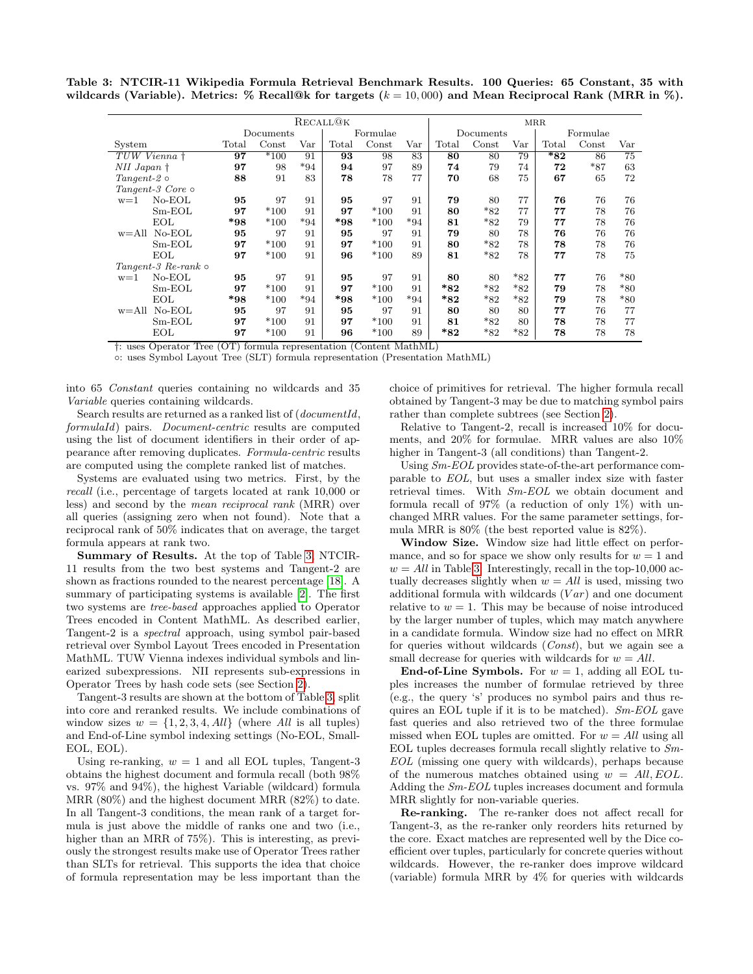Table 3: NTCIR-11 Wikipedia Formula Retrieval Benchmark Results. 100 Queries: 65 Constant, 35 with wildcards (Variable). Metrics: % Recall@k for targets  $(k = 10,000)$  and Mean Reciprocal Rank (MRR in %).

<span id="page-7-0"></span>

| RECALL@K                      |           |                  |                      |       |          |              | <b>MRR</b>     |       |              |                |       |              |
|-------------------------------|-----------|------------------|----------------------|-------|----------|--------------|----------------|-------|--------------|----------------|-------|--------------|
|                               | Documents |                  |                      |       | Formulae |              | Documents      |       |              | Formulae       |       |              |
| System                        | Total     | $\mathrm{Const}$ | $\operatorname{Var}$ | Total | Const    | $_{\rm Var}$ | $_{\rm Total}$ | Const | $_{\rm Var}$ | $_{\rm Total}$ | Const | $_{\rm Var}$ |
| TUW Vienna †                  | 97        | $*100$           | 91                   | 93    | 98       | 83           | 80             | 80    | 79           | $*_{82}$       | 86    | 75           |
| $NII$ Japan $\dagger$         | 97        | 98               | $*94$                | 94    | 97       | 89           | 74             | 79    | 74           | 72             | $*87$ | 63           |
| $Tangent-2$                   | 88        | 91               | 83                   | 78    | 78       | 77           | 70             | 68    | 75           | 67             | 65    | 72           |
| Tangent-3 Core $\circ$        |           |                  |                      |       |          |              |                |       |              |                |       |              |
| $No-EOL$<br>$w=1$             | 95        | 97               | 91                   | 95    | 97       | 91           | 79             | 80    | 77           | 76             | 76    | 76           |
| $Sm-EOL$                      | 97        | $*100$           | 91                   | 97    | $*100$   | 91           | 80             | $*82$ | 77           | 77             | 78    | 76           |
| EOL                           | $*98$     | $*100$           | $*94$                | $*98$ | $*100$   | $*94$        | 81             | $*82$ | 79           | 77             | 78    | 76           |
| $w = All No-EOL$              | 95        | 97               | 91                   | 95    | 97       | 91           | 79             | 80    | 78           | 76             | 76    | 76           |
| $Sm-EOL$                      | 97        | $*100$           | 91                   | 97    | $*100$   | 91           | 80             | $*82$ | 78           | 78             | 78    | 76           |
| EOL                           | 97        | $*100$           | 91                   | 96    | $*100$   | 89           | 81             | $*82$ | 78           | 77             | 78    | 75           |
| $Tangent-3$ $Re-rank$ $\circ$ |           |                  |                      |       |          |              |                |       |              |                |       |              |
| $No-EOL$<br>$w=1$             | 95        | 97               | 91                   | 95    | 97       | 91           | 80             | 80    | $*82$        | 77             | 76    | $*80$        |
| $Sm-EOL$                      | 97        | $*100$           | 91                   | 97    | $*100$   | 91           | $*82$          | $*82$ | $*_{82}$     | 79             | 78    | $*80$        |
| EOL                           | $*98$     | $*100$           | $*94$                | $*98$ | $*100$   | $*94$        | $*_{82}$       | $*82$ | *82          | 79             | 78    | $*80$        |
| $w = All No-EOL$              | 95        | 97               | 91                   | 95    | 97       | 91           | 80             | 80    | 80           | 77             | 76    | 77           |
| $Sm-EOL$                      | 97        | $*100$           | 91                   | 97    | $*100$   | 91           | 81             | $*82$ | 80           | 78             | 78    | 77           |
| EOL                           | 97        | $*100$           | 91                   | 96    | $*100$   | 89           | $*_{82}$       | $*82$ | *82          | 78             | 78    | 78           |

†: uses Operator Tree (OT) formula representation (Content MathML)

◦: uses Symbol Layout Tree (SLT) formula representation (Presentation MathML)

into 65 Constant queries containing no wildcards and 35 Variable queries containing wildcards.

Search results are returned as a ranked list of (*documentId*, formulaId) pairs. Document-centric results are computed using the list of document identifiers in their order of appearance after removing duplicates. Formula-centric results are computed using the complete ranked list of matches.

Systems are evaluated using two metrics. First, by the recall (i.e., percentage of targets located at rank 10,000 or less) and second by the mean reciprocal rank (MRR) over all queries (assigning zero when not found). Note that a reciprocal rank of 50% indicates that on average, the target formula appears at rank two.

Summary of Results. At the top of Table [3,](#page-7-0) NTCIR-11 results from the two best systems and Tangent-2 are shown as fractions rounded to the nearest percentage [\[18\]](#page-9-1). A summary of participating systems is available [\[2\]](#page-9-4). The first two systems are tree-based approaches applied to Operator Trees encoded in Content MathML. As described earlier, Tangent-2 is a spectral approach, using symbol pair-based retrieval over Symbol Layout Trees encoded in Presentation MathML. TUW Vienna indexes individual symbols and linearized subexpressions. NII represents sub-expressions in Operator Trees by hash code sets (see Section [2\)](#page-1-2).

Tangent-3 results are shown at the bottom of Table [3,](#page-7-0) split into core and reranked results. We include combinations of window sizes  $w = \{1, 2, 3, 4, All\}$  (where All is all tuples) and End-of-Line symbol indexing settings (No-EOL, Small-EOL, EOL).

Using re-ranking,  $w = 1$  and all EOL tuples, Tangent-3 obtains the highest document and formula recall (both 98% vs. 97% and 94%), the highest Variable (wildcard) formula MRR (80%) and the highest document MRR (82%) to date. In all Tangent-3 conditions, the mean rank of a target formula is just above the middle of ranks one and two (i.e., higher than an MRR of 75%). This is interesting, as previously the strongest results make use of Operator Trees rather than SLTs for retrieval. This supports the idea that choice of formula representation may be less important than the choice of primitives for retrieval. The higher formula recall obtained by Tangent-3 may be due to matching symbol pairs rather than complete subtrees (see Section [2\)](#page-1-2).

Relative to Tangent-2, recall is increased 10% for documents, and 20% for formulae. MRR values are also 10% higher in Tangent-3 (all conditions) than Tangent-2.

Using Sm-EOL provides state-of-the-art performance comparable to EOL, but uses a smaller index size with faster retrieval times. With Sm-EOL we obtain document and formula recall of 97% (a reduction of only 1%) with unchanged MRR values. For the same parameter settings, formula MRR is 80% (the best reported value is 82%).

Window Size. Window size had little effect on performance, and so for space we show only results for  $w = 1$  and  $w = All$  in Table [3.](#page-7-0) Interestingly, recall in the top-10,000 actually decreases slightly when  $w = All$  is used, missing two additional formula with wildcards  $(Var)$  and one document relative to  $w = 1$ . This may be because of noise introduced by the larger number of tuples, which may match anywhere in a candidate formula. Window size had no effect on MRR for queries without wildcards (Const), but we again see a small decrease for queries with wildcards for  $w = All$ .

End-of-Line Symbols. For  $w = 1$ , adding all EOL tuples increases the number of formulae retrieved by three (e.g., the query 's' produces no symbol pairs and thus requires an EOL tuple if it is to be matched). Sm-EOL gave fast queries and also retrieved two of the three formulae missed when EOL tuples are omitted. For  $w = All$  using all EOL tuples decreases formula recall slightly relative to  $Sm$ -EOL (missing one query with wildcards), perhaps because of the numerous matches obtained using  $w = All, EOL$ . Adding the Sm-EOL tuples increases document and formula MRR slightly for non-variable queries.

Re-ranking. The re-ranker does not affect recall for Tangent-3, as the re-ranker only reorders hits returned by the core. Exact matches are represented well by the Dice coefficient over tuples, particularly for concrete queries without wildcards. However, the re-ranker does improve wildcard (variable) formula MRR by 4% for queries with wildcards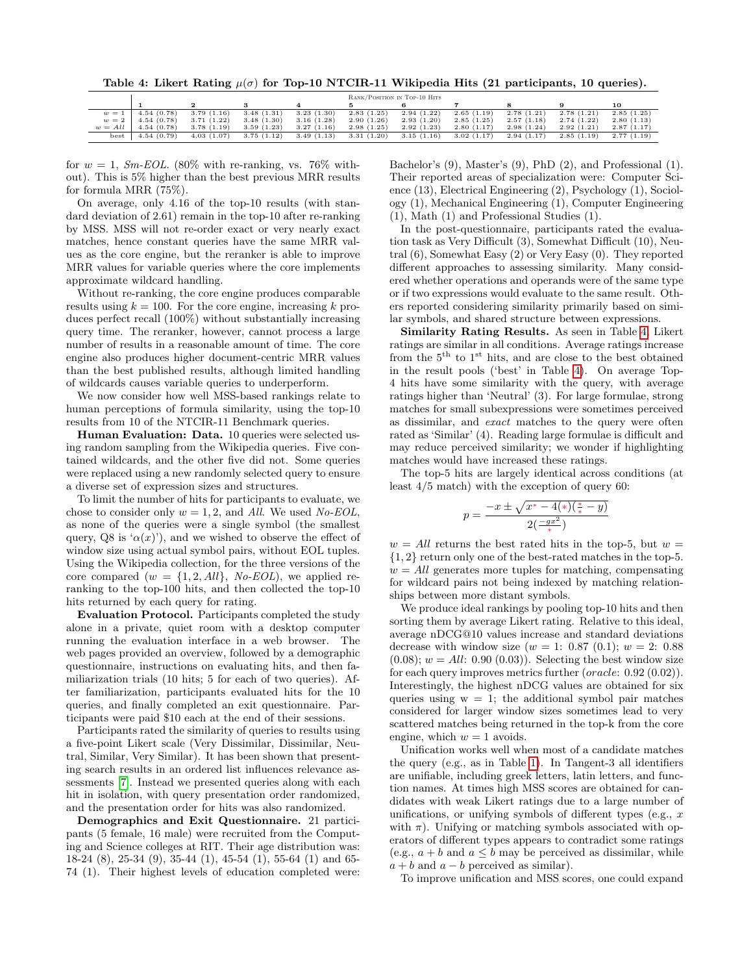<span id="page-8-0"></span>Table 4: Likert Rating  $\mu(\sigma)$  for Top-10 NTCIR-11 Wikipedia Hits (21 participants, 10 queries).

|           | RANK/POSITION IN TOP-10 HITS |            |            |            |            |            |            |            |            |            |
|-----------|------------------------------|------------|------------|------------|------------|------------|------------|------------|------------|------------|
|           |                              |            |            |            |            |            |            |            |            | 10         |
| $w=1$     | 4.54(0.78)                   | 3.79(1.16) | 3.48(1.31) | 3.23(1.30) | 2.83(1.25) | 2.94(1.22) | 2.65(1.19) | 2.78(1.21) | 2.78(1.21) | 2.85(1.25) |
| $w=2$     | 4.54(0.78)                   | 3.71(1.22) | 3.48(1.30) | 3.16(1.28) | 2.90(1.26) | 2.93(1.20) | 2.85(1.25) | 2.57(1.18) | 2.74(1.22) | 2.80(1.13) |
| $w = All$ | 4.54(0.78)                   | 3.78(1.19) | 3.59(1.23) | 3.27(1.16) | 2.98(1.25) | 2.92(1.23) | 2.80(1.17) | 2.98(1.24) | 2.92(1.21) | 2.87(1.17) |
| best      | 4.54(0.79)                   | 4.03(1.07) | 3.75(1.12) | 3.49(1.13) | 3.31(1.20) | 3.15(1.16) | 3.02(1.17) | 2.94(1.17) | 2.85(1.19) | 2.77(1.19) |

for  $w = 1$ , *Sm-EOL*. (80% with re-ranking, vs. 76% without). This is 5% higher than the best previous MRR results for formula MRR (75%).

On average, only 4.16 of the top-10 results (with standard deviation of 2.61) remain in the top-10 after re-ranking by MSS. MSS will not re-order exact or very nearly exact matches, hence constant queries have the same MRR values as the core engine, but the reranker is able to improve MRR values for variable queries where the core implements approximate wildcard handling.

Without re-ranking, the core engine produces comparable results using  $k = 100$ . For the core engine, increasing k produces perfect recall (100%) without substantially increasing query time. The reranker, however, cannot process a large number of results in a reasonable amount of time. The core engine also produces higher document-centric MRR values than the best published results, although limited handling of wildcards causes variable queries to underperform.

We now consider how well MSS-based rankings relate to human perceptions of formula similarity, using the top-10 results from 10 of the NTCIR-11 Benchmark queries.

Human Evaluation: Data. 10 queries were selected using random sampling from the Wikipedia queries. Five contained wildcards, and the other five did not. Some queries were replaced using a new randomly selected query to ensure a diverse set of expression sizes and structures.

To limit the number of hits for participants to evaluate, we chose to consider only  $w = 1, 2$ , and All. We used No-EOL, as none of the queries were a single symbol (the smallest query, Q8 is ' $\alpha(x)$ '), and we wished to observe the effect of window size using actual symbol pairs, without EOL tuples. Using the Wikipedia collection, for the three versions of the core compared  $(w = \{1, 2, All\}, No\text{-}EOL)$ , we applied reranking to the top-100 hits, and then collected the top-10 hits returned by each query for rating.

Evaluation Protocol. Participants completed the study alone in a private, quiet room with a desktop computer running the evaluation interface in a web browser. The web pages provided an overview, followed by a demographic questionnaire, instructions on evaluating hits, and then familiarization trials (10 hits; 5 for each of two queries). After familiarization, participants evaluated hits for the 10 queries, and finally completed an exit questionnaire. Participants were paid \$10 each at the end of their sessions.

Participants rated the similarity of queries to results using a five-point Likert scale (Very Dissimilar, Dissimilar, Neutral, Similar, Very Similar). It has been shown that presenting search results in an ordered list influences relevance assessments [\[7\]](#page-9-26). Instead we presented queries along with each hit in isolation, with query presentation order randomized, and the presentation order for hits was also randomized.

Demographics and Exit Questionnaire. 21 participants (5 female, 16 male) were recruited from the Computing and Science colleges at RIT. Their age distribution was: 18-24 (8), 25-34 (9), 35-44 (1), 45-54 (1), 55-64 (1) and 65- 74 (1). Their highest levels of education completed were: Bachelor's (9), Master's (9), PhD (2), and Professional (1). Their reported areas of specialization were: Computer Science (13), Electrical Engineering (2), Psychology (1), Sociology (1), Mechanical Engineering (1), Computer Engineering (1), Math (1) and Professional Studies (1).

In the post-questionnaire, participants rated the evaluation task as Very Difficult (3), Somewhat Difficult (10), Neutral (6), Somewhat Easy (2) or Very Easy (0). They reported different approaches to assessing similarity. Many considered whether operations and operands were of the same type or if two expressions would evaluate to the same result. Others reported considering similarity primarily based on similar symbols, and shared structure between expressions.

Similarity Rating Results. As seen in Table [4,](#page-8-0) Likert ratings are similar in all conditions. Average ratings increase from the  $5<sup>th</sup>$  to  $1<sup>st</sup>$  hits, and are close to the best obtained in the result pools ('best' in Table [4\)](#page-8-0). On average Top-4 hits have some similarity with the query, with average ratings higher than 'Neutral' (3). For large formulae, strong matches for small subexpressions were sometimes perceived as dissimilar, and exact matches to the query were often rated as 'Similar' (4). Reading large formulae is difficult and may reduce perceived similarity; we wonder if highlighting matches would have increased these ratings.

The top-5 hits are largely identical across conditions (at least 4/5 match) with the exception of query 60:

$$
p = \frac{-x \pm \sqrt{x^* - 4(*) (\frac{*}{*} - y)}}{2 (\frac{-gx^2}{*})}
$$

 $w = All$  returns the best rated hits in the top-5, but  $w =$ {1, 2} return only one of the best-rated matches in the top-5.  $w = All$  generates more tuples for matching, compensating for wildcard pairs not being indexed by matching relationships between more distant symbols.

We produce ideal rankings by pooling top-10 hits and then sorting them by average Likert rating. Relative to this ideal, average nDCG@10 values increase and standard deviations decrease with window size  $(w = 1: 0.87 (0.1); w = 2: 0.88)$  $(0.08); w = All: 0.90 (0.03)$ . Selecting the best window size for each query improves metrics further (oracle: 0.92 (0.02)). Interestingly, the highest nDCG values are obtained for six queries using  $w = 1$ ; the additional symbol pair matches considered for larger window sizes sometimes lead to very scattered matches being returned in the top-k from the core engine, which  $w = 1$  avoids.

Unification works well when most of a candidate matches the query (e.g., as in Table [1\)](#page-2-2). In Tangent-3 all identifiers are unifiable, including greek letters, latin letters, and function names. At times high MSS scores are obtained for candidates with weak Likert ratings due to a large number of unifications, or unifying symbols of different types (e.g.,  $x$ ) with  $\pi$ ). Unifying or matching symbols associated with operators of different types appears to contradict some ratings (e.g.,  $a + b$  and  $a \leq b$  may be perceived as dissimilar, while  $a + b$  and  $a - b$  perceived as similar).

To improve unification and MSS scores, one could expand